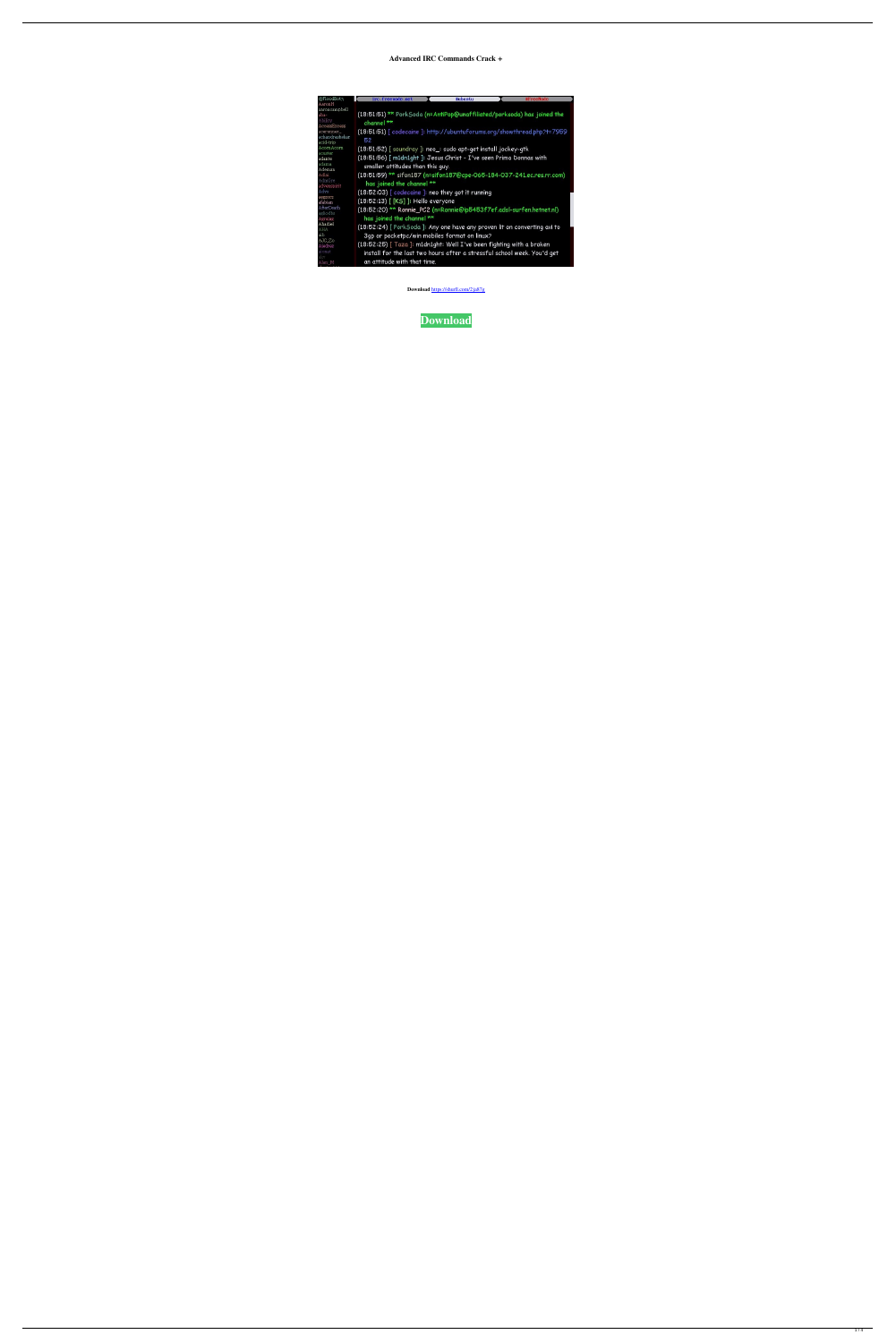# **Advanced IRC Commands Crack +**

| @FloodBot3                                       | irc.freenode.net<br>#ubuntu<br>#FreeNode                                                                      |
|--------------------------------------------------|---------------------------------------------------------------------------------------------------------------|
| AaronH                                           |                                                                                                               |
| aaroncampbell<br>aba-<br>Ability<br>AccessExcess | (18:51:51) <sup>**</sup> PorkSoda (n=AntiPop@unaffiliated/porksoda) has joined the<br>channel **              |
| acerunner<br>achandrashekar<br>acid-trip         | (18:51:51) [ codecaine ]: http://ubuntuforums.org/showthread.php?t=7959<br>52                                 |
| AcornAcorn                                       | (18:51:52) [ soundray ]: neo_: sudo apt-get install jockey-gtk                                                |
| acuster<br>adante<br>adama<br>Ademan             | (18:51:56) [ m1dn1ght ]: Jesus Christ - I've seen Prima Donnas with<br>smaller attitudes than this guy.       |
| Adlai<br>AdmGre<br>advenspirit                   | (18:51:59) <sup>**</sup> sifon187 (n=sifon187@cpe-065-184-037-241.ec.res.rr.com)<br>has joined the channel ** |
| Adys                                             | (18:52:03) [ codecaine ]: neo they got it running                                                             |
| aegzorz<br>afabian                               | (18:52:13) [ [KS] ]: Hello everyone                                                                           |
| AfterDeath<br>agliodbs<br>Agrajag                | (18:52:20) ** Ronnie_PC2 (n=Ronnie@ip5453f7ef.adsl-surfen.hetnet.nl)<br>has joined the channel **             |
| Ahadiel                                          | (18:52:24) [ PorkSoda ]: Any one have any proven lit on converting avi to                                     |
| AHA<br>aib                                       | 3gp or pocketpc/win mobiles format on linux?                                                                  |
| AJC_Zo                                           |                                                                                                               |
| Ajedrez                                          | (18:52:25) [ Taza ]: m1dn1ght: Well I've been fighting with a broken                                          |
| ajonat<br>akv                                    | install for the last two hours after a stressful school week. You'd get                                       |
| Alan_M                                           | an attitude with that time.                                                                                   |

**Download** <https://shurll.com/2ja87g>

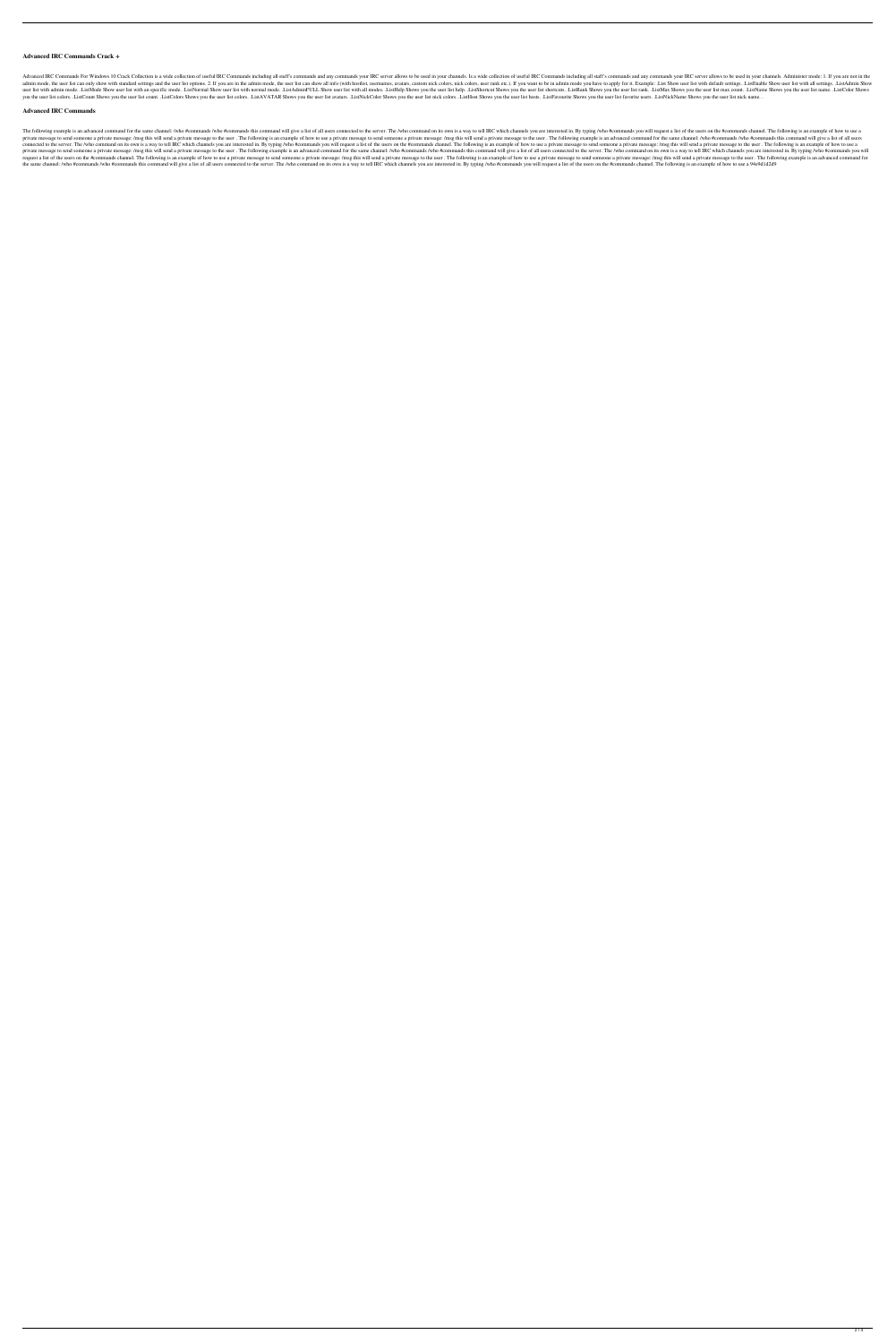## **Advanced IRC Commands Crack +**

Advanced IRC Commands For Windows 10 Crack Collection is a wide collection of useful IRC Commands including all staff's commands and any commands your IRC server allows to be used in your channels. Is a wide collection of admin mode, the user list can only show with standard settings and the user list options. 2. If you are in the admin mode, the user list can show all info (with hostlist, usernames, avatars, custom nick colors, nick colors user list with admin mode. .ListMode Show user list with an specific mode. .ListNormal Show user list with normal mode. .ListAdminFULL Show user list with all modes. .ListHelp Shows you the user list shortcuts. .ListRank S you the user list colors. ListCount Shows you the user list count. ListColors Shows you the user list colors. ListAVATAR Shows you the user list avatars. ListNickColor Shows you the user list nick colors. ListNost Shows yo

## **Advanced IRC Commands**

The following example is an advanced command for the same channel: /who #commands /who #commands who #commands this command will give a list of all users connected to the server. The /who command on its own is a way to tel private message to send someone a private message: /msg this will send a private message to the user. The following is an example of how to use a private message to send someone a private message: /msg this will send a pri connected to the server. The /who command on its own is a way to tell IRC which channels you are interested in. By typing /who #commands you will request a list of the users on the #commands channel. The following is an ex private message to send someone a private message: /msg this will send a private message: of the user. The following example is an advanced command for the same channel: /who #commands /who #commands will give a list of al request a list of the users on the #commands channel. The following is an example of how to use a private message to send someone a private message: /msg this will send a private message to send someone a private message: the same channel: /who #commands /who #commands this command will give a list of all users connected to the server. The /who command on its own is a way to tell IRC which channels you are interested in. By typing /who #com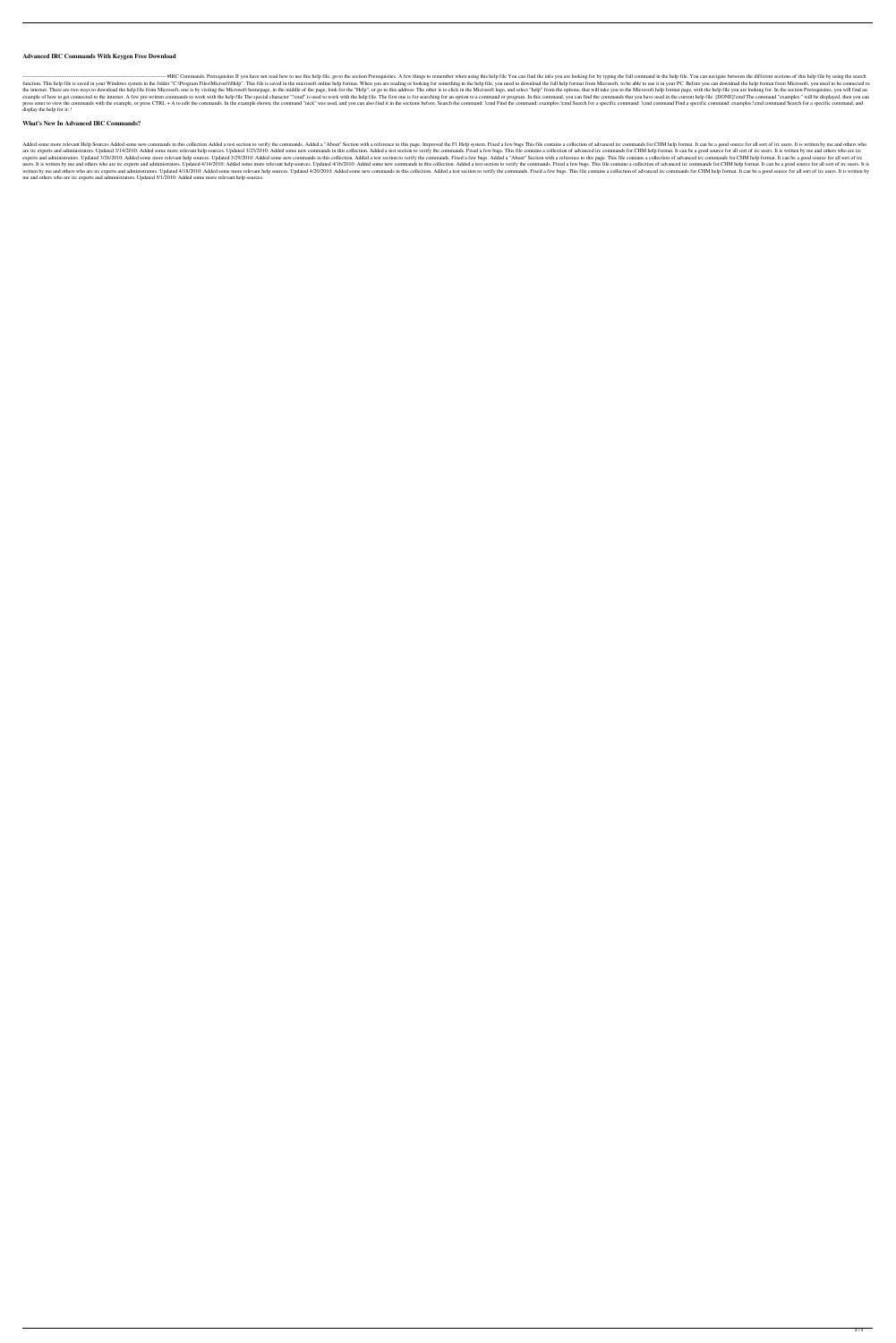## **Advanced IRC Commands With Keygen Free Download**

-- #IRC Commands. Prerequisites If you have not read how to use this help file, go to the section Prerequisites. A few things to remember when using this help file You can find the info you are looking for by typing the fu function. This help file is saved in your Windows system in the folder "C:\Program Files\Microsft\Help". This file is saved in the microsoft online help format. When you are reading or looking for something in the help fil the internet. There are two ways to download the help file from Microsoft, one is by visiting the Microsoft homepage, in the middle of the page, look for the "Help", or go to this address: The other is to click in the Micr example of how to get connected to the internet. A few pre-written commands to work with the help file The special character "!cmd" is used to work with the help file. The first one is for searching for an option to a comm press enter to view the commands with the example, or press CTRL + A to edit the commands. In the example shown, the command "nick" was used, and you can also find it in the sections before. Search the command: examples:!c display the help for it: !

#### **What's New In Advanced IRC Commands?**

Added some more relevant Help Sources Added some new commands in this collection Added a test section to verify the commands. Added a "About" Section with a reference to this page. Improved the F1 Help system. Fixed a few are irc experts and administrators. Updated 3/14/2010: Added some more relevant help sources. Updated 3/23/2010: Added atest section to verify the commands in this collection. Added a test section to verify the commands fo experts and administrators. Updated 3/26/2010: Added some more relevant help sources. Updated 3/29/2010: Added some new commands in this collection. Added a test section to verify the commands. Fixed a few bugs. Added a"Ab users. It is written by me and others who are irc experts and administrators. Updated 4/14/2010: Added some more relevant help sources. Updated 4/16/2010: Added some new commands in this collection. Added a test section to written by me and others who are irc experts and administrators. Updated 4/18/2010: Added some more relevant help sources. Updated 4/20/2010: Added some new commands in this collection. Added a test section to verify the c me and others who are irc experts and administrators. Updated 5/1/2010: Added some more relevant help sources.